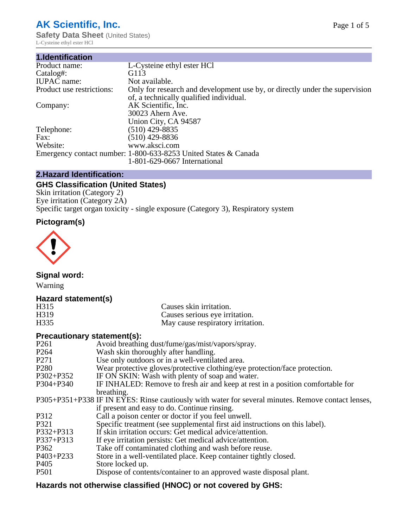# **AK Scientific, Inc.**

**Safety Data Sheet (United States)** L-Cysteine ethyl ester HCl

| 1.Identification          |                                                                                                                        |
|---------------------------|------------------------------------------------------------------------------------------------------------------------|
| Product name:             | L-Cysteine ethyl ester HCl                                                                                             |
| Catalog#:                 | G113                                                                                                                   |
| <b>IUPAC</b> name:        | Not available.                                                                                                         |
| Product use restrictions: | Only for research and development use by, or directly under the supervision<br>of, a technically qualified individual. |
| Company:                  | AK Scientific, Inc.<br>30023 Ahern Ave.<br>Union City, CA 94587                                                        |
| Telephone:                | $(510)$ 429-8835                                                                                                       |
| Fax:                      | (510) 429-8836                                                                                                         |
| Website:                  | www.aksci.com                                                                                                          |
|                           | Emergency contact number: 1-800-633-8253 United States & Canada<br>1-801-629-0667 International                        |

## **2.Hazard Identification:**

# **GHS Classification (United States)**

Skin irritation (Category 2) Eye irritation (Category 2A) Specific target organ toxicity - single exposure (Category 3), Respiratory system

# **Pictogram(s)**



**Signal word:**

Warning

## **Hazard statement(s)**

| H <sub>315</sub>  | Causes skin irritation.           |
|-------------------|-----------------------------------|
| H <sub>3</sub> 19 | Causes serious eye irritation.    |
| H335              | May cause respiratory irritation. |

## **Precautionary statement(s):**

| P <sub>261</sub> | Avoid breathing dust/fume/gas/mist/vapors/spray.                                                   |
|------------------|----------------------------------------------------------------------------------------------------|
| P <sub>264</sub> | Wash skin thoroughly after handling.                                                               |
| P <sub>271</sub> | Use only outdoors or in a well-ventilated area.                                                    |
| P <sub>280</sub> | Wear protective gloves/protective clothing/eye protection/face protection.                         |
| P302+P352        | IF ON SKIN: Wash with plenty of soap and water.                                                    |
| $P304 + P340$    | IF INHALED: Remove to fresh air and keep at rest in a position comfortable for                     |
|                  | breathing.                                                                                         |
|                  | P305+P351+P338 IF IN EYES: Rinse cautiously with water for several minutes. Remove contact lenses, |
|                  | if present and easy to do. Continue rinsing.                                                       |
| P312             | Call a poison center or doctor if you feel unwell.                                                 |
| P321             | Specific treatment (see supplemental first aid instructions on this label).                        |
| P332+P313        | If skin irritation occurs: Get medical advice/attention.                                           |
| P337+P313        | If eye irritation persists: Get medical advice/attention.                                          |
| P362             | Take off contaminated clothing and wash before reuse.                                              |
| $P403 + P233$    | Store in a well-ventilated place. Keep container tightly closed.                                   |
| P <sub>405</sub> | Store locked up.                                                                                   |
| P <sub>501</sub> | Dispose of contents/container to an approved waste disposal plant.                                 |
|                  |                                                                                                    |

## **Hazards not otherwise classified (HNOC) or not covered by GHS:**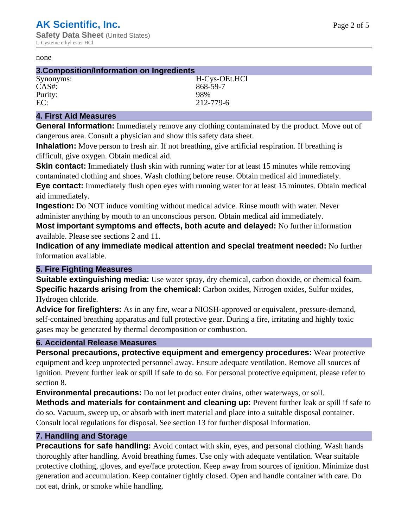#### none

| 3. Composition/Information on Ingredients |               |  |
|-------------------------------------------|---------------|--|
| Synonyms:                                 | H-Cys-OEt.HCl |  |
| $CAS#$ :                                  | 868-59-7      |  |
| Purity:                                   | 98%           |  |
| EC:                                       | 212-779-6     |  |

#### **4. First Aid Measures**

**General Information:** Immediately remove any clothing contaminated by the product. Move out of dangerous area. Consult a physician and show this safety data sheet.

**Inhalation:** Move person to fresh air. If not breathing, give artificial respiration. If breathing is difficult, give oxygen. Obtain medical aid.

**Skin contact:** Immediately flush skin with running water for at least 15 minutes while removing contaminated clothing and shoes. Wash clothing before reuse. Obtain medical aid immediately. **Eye contact:** Immediately flush open eyes with running water for at least 15 minutes. Obtain medical aid immediately.

**Ingestion:** Do NOT induce vomiting without medical advice. Rinse mouth with water. Never administer anything by mouth to an unconscious person. Obtain medical aid immediately.

**Most important symptoms and effects, both acute and delayed:** No further information available. Please see sections 2 and 11.

**Indication of any immediate medical attention and special treatment needed:** No further information available.

### **5. Fire Fighting Measures**

**Suitable extinguishing media:** Use water spray, dry chemical, carbon dioxide, or chemical foam. **Specific hazards arising from the chemical:** Carbon oxides, Nitrogen oxides, Sulfur oxides, Hydrogen chloride.

**Advice for firefighters:** As in any fire, wear a NIOSH-approved or equivalent, pressure-demand, self-contained breathing apparatus and full protective gear. During a fire, irritating and highly toxic gases may be generated by thermal decomposition or combustion.

### **6. Accidental Release Measures**

**Personal precautions, protective equipment and emergency procedures:** Wear protective equipment and keep unprotected personnel away. Ensure adequate ventilation. Remove all sources of ignition. Prevent further leak or spill if safe to do so. For personal protective equipment, please refer to section 8.

**Environmental precautions:** Do not let product enter drains, other waterways, or soil.

**Methods and materials for containment and cleaning up:** Prevent further leak or spill if safe to do so. Vacuum, sweep up, or absorb with inert material and place into a suitable disposal container. Consult local regulations for disposal. See section 13 for further disposal information.

### **7. Handling and Storage**

**Precautions for safe handling:** Avoid contact with skin, eyes, and personal clothing. Wash hands thoroughly after handling. Avoid breathing fumes. Use only with adequate ventilation. Wear suitable protective clothing, gloves, and eye/face protection. Keep away from sources of ignition. Minimize dust generation and accumulation. Keep container tightly closed. Open and handle container with care. Do not eat, drink, or smoke while handling.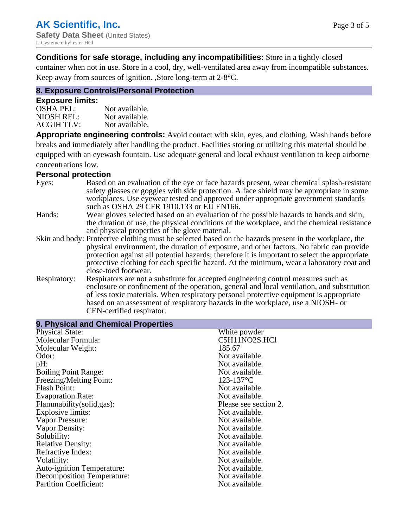## **Conditions for safe storage, including any incompatibilities:** Store in a tightly-closed

container when not in use. Store in a cool, dry, well-ventilated area away from incompatible substances. Keep away from sources of ignition. ,Store long-term at 2-8°C.

## **8. Exposure Controls/Personal Protection**

#### **Exposure limits:**

| <b>OSHA PEL:</b>  | Not available. |
|-------------------|----------------|
| NIOSH REL:        | Not available. |
| <b>ACGIH TLV:</b> | Not available. |

**Appropriate engineering controls:** Avoid contact with skin, eyes, and clothing. Wash hands before breaks and immediately after handling the product. Facilities storing or utilizing this material should be equipped with an eyewash fountain. Use adequate general and local exhaust ventilation to keep airborne concentrations low.

#### **Personal protection**

| Eyes:        | Based on an evaluation of the eye or face hazards present, wear chemical splash-resistant<br>safety glasses or goggles with side protection. A face shield may be appropriate in some |
|--------------|---------------------------------------------------------------------------------------------------------------------------------------------------------------------------------------|
|              | workplaces. Use eyewear tested and approved under appropriate government standards<br>such as OSHA 29 CFR 1910.133 or EU EN166.                                                       |
| Hands:       | Wear gloves selected based on an evaluation of the possible hazards to hands and skin,                                                                                                |
|              | the duration of use, the physical conditions of the workplace, and the chemical resistance                                                                                            |
|              | and physical properties of the glove material.                                                                                                                                        |
|              | Skin and body: Protective clothing must be selected based on the hazards present in the workplace, the                                                                                |
|              | physical environment, the duration of exposure, and other factors. No fabric can provide                                                                                              |
|              | protection against all potential hazards; therefore it is important to select the appropriate                                                                                         |
|              | protective clothing for each specific hazard. At the minimum, wear a laboratory coat and                                                                                              |
|              | close-toed footwear.                                                                                                                                                                  |
| Respiratory: | Respirators are not a substitute for accepted engineering control measures such as<br>enclosure or confinement of the operation, general and local ventilation, and substitution      |
|              | of less toxic materials. When respiratory personal protective equipment is appropriate                                                                                                |
|              | based on an assessment of respiratory hazards in the workplace, use a NIOSH- or                                                                                                       |
|              | CEN-certified respirator.                                                                                                                                                             |
|              |                                                                                                                                                                                       |

| 9. Physical and Chemical Properties |                       |
|-------------------------------------|-----------------------|
| <b>Physical State:</b>              | White powder          |
| Molecular Formula:                  | C5H11NO2S.HCl         |
| Molecular Weight:                   | 185.67                |
| Odor:                               | Not available.        |
| pH:                                 | Not available.        |
| <b>Boiling Point Range:</b>         | Not available.        |
| Freezing/Melting Point:             | $123 - 137$ °C        |
| <b>Flash Point:</b>                 | Not available.        |
| <b>Evaporation Rate:</b>            | Not available.        |
| Flammability(solid,gas):            | Please see section 2. |
| Explosive limits:                   | Not available.        |
| Vapor Pressure:                     | Not available.        |
| Vapor Density:                      | Not available.        |
| Solubility:                         | Not available.        |
| <b>Relative Density:</b>            | Not available.        |
| Refractive Index:                   | Not available.        |
| Volatility:                         | Not available.        |
| <b>Auto-ignition Temperature:</b>   | Not available.        |
| <b>Decomposition Temperature:</b>   | Not available.        |
| <b>Partition Coefficient:</b>       | Not available.        |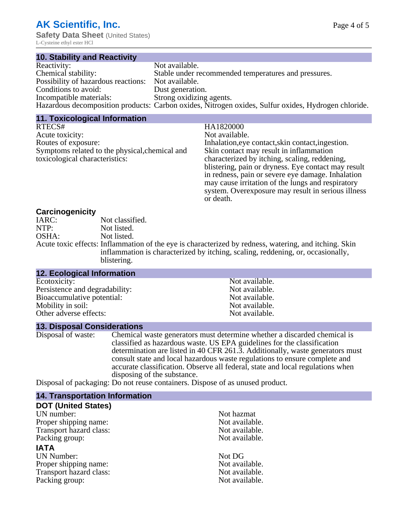L-Cysteine ethyl ester HCl

| 10. Stability and Reactivity                       |                                                                                                     |
|----------------------------------------------------|-----------------------------------------------------------------------------------------------------|
| Reactivity:                                        | Not available.                                                                                      |
| Chemical stability:                                | Stable under recommended temperatures and pressures.                                                |
| Possibility of hazardous reactions: Not available. |                                                                                                     |
| Conditions to avoid:                               | Dust generation.                                                                                    |
| Incompatible materials:                            | Strong oxidizing agents.                                                                            |
|                                                    | Hazardous decomposition products: Carbon oxides, Nitrogen oxides, Sulfur oxides, Hydrogen chloride. |

| <b>11. Toxicological Information</b>           |                                                     |
|------------------------------------------------|-----------------------------------------------------|
| RTECS#                                         | HA1820000                                           |
| Acute toxicity:                                | Not available.                                      |
| Routes of exposure:                            | Inhalation, eye contact, skin contact, ingestion.   |
| Symptoms related to the physical, chemical and | Skin contact may result in inflammation             |
| toxicological characteristics:                 | characterized by itching, scaling, reddening,       |
|                                                | blistering, pain or dryness. Eye contact may result |
|                                                | in redness, pain or severe eye damage. Inhalation   |
|                                                | may cause irritation of the lungs and respiratory   |
|                                                | system. Overexposure may result in serious illness  |
|                                                | or death.                                           |

### **Carcinogenicity**

| IARC: | Not classified.                                                                                       |
|-------|-------------------------------------------------------------------------------------------------------|
| NTP:  | Not listed.                                                                                           |
| OSHA: | Not listed.                                                                                           |
|       | Acute toxic effects: Inflammation of the eye is characterized by redness, watering, and itching. Skin |
|       | inflammation is characterized by itching, scaling, reddening, or, occasionally,                       |
|       | blistering.                                                                                           |

| <b>12. Ecological Information</b> |                |  |
|-----------------------------------|----------------|--|
| Ecotoxicity:                      | Not available. |  |
| Persistence and degradability:    | Not available. |  |
| Bioaccumulative potential:        | Not available. |  |
| Mobility in soil:                 | Not available. |  |
| Other adverse effects:            | Not available. |  |

#### **13. Disposal Considerations**

Disposal of waste: Chemical waste generators must determine whether a discarded chemical is classified as hazardous waste. US EPA guidelines for the classification determination are listed in 40 CFR 261.3. Additionally, waste generators must consult state and local hazardous waste regulations to ensure complete and accurate classification. Observe all federal, state and local regulations when disposing of the substance.

Disposal of packaging: Do not reuse containers. Dispose of as unused product.

| <b>14. Transportation Information</b> |                |  |
|---------------------------------------|----------------|--|
| <b>DOT (United States)</b>            |                |  |
| UN number:                            | Not hazmat     |  |
| Proper shipping name:                 | Not available. |  |
| Transport hazard class:               | Not available. |  |
| Packing group:                        | Not available. |  |
| <b>IATA</b>                           |                |  |
| <b>UN Number:</b>                     | Not DG         |  |
| Proper shipping name:                 | Not available. |  |
| Transport hazard class:               | Not available. |  |
| Packing group:                        | Not available. |  |